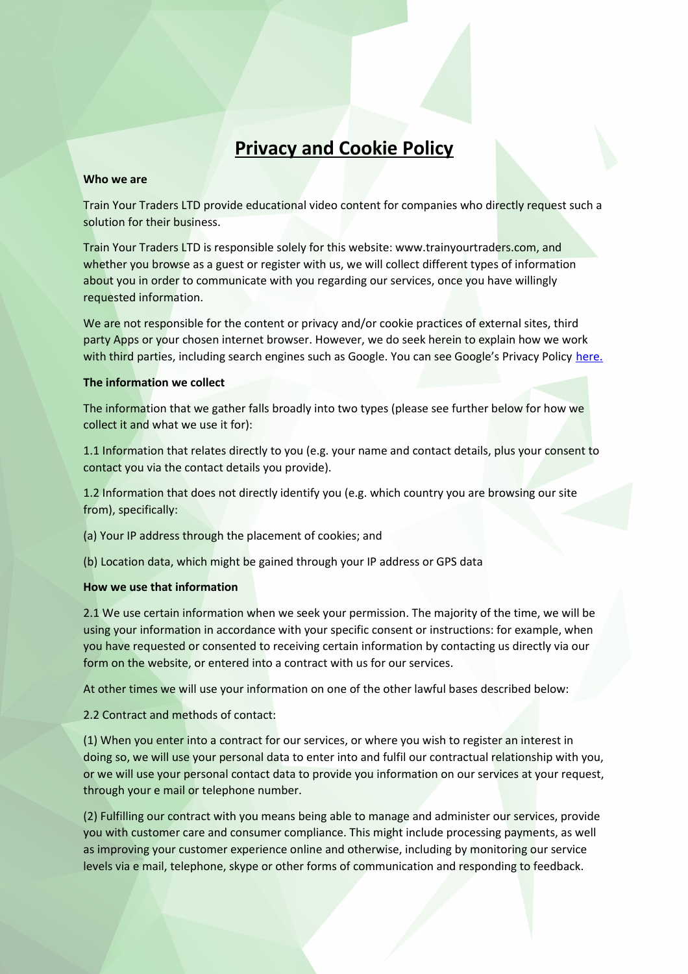# **Privacy and Cookie Policy**

#### **Who we are**

Train Your Traders LTD provide educational video content for companies who directly request such a solution for their business.

Train Your Traders LTD is responsible solely for this website: www.trainyourtraders.com, and whether you browse as a guest or register with us, we will collect different types of information about you in order to communicate with you regarding our services, once you have willingly requested information.

We are not responsible for the content or privacy and/or cookie practices of external sites, third party Apps or your chosen internet browser. However, we do seek herein to explain how we work with third parties, including search engines such as Google. You can see Google's Privacy Policy [here.](https://policies.google.com/privacy)

#### **The information we collect**

The information that we gather falls broadly into two types (please see further below for how we collect it and what we use it for):

1.1 Information that relates directly to you (e.g. your name and contact details, plus your consent to contact you via the contact details you provide).

1.2 Information that does not directly identify you (e.g. which country you are browsing our site from), specifically:

(a) Your IP address through the placement of cookies; and

(b) Location data, which might be gained through your IP address or GPS data

#### **How we use that information**

2.1 We use certain information when we seek your permission. The majority of the time, we will be using your information in accordance with your specific consent or instructions: for example, when you have requested or consented to receiving certain information by contacting us directly via our form on the website, or entered into a contract with us for our services.

At other times we will use your information on one of the other lawful bases described below:

2.2 Contract and methods of contact:

(1) When you enter into a contract for our services, or where you wish to register an interest in doing so, we will use your personal data to enter into and fulfil our contractual relationship with you, or we will use your personal contact data to provide you information on our services at your request, through your e mail or telephone number.

(2) Fulfilling our contract with you means being able to manage and administer our services, provide you with customer care and consumer compliance. This might include processing payments, as well as improving your customer experience online and otherwise, including by monitoring our service levels via e mail, telephone, skype or other forms of communication and responding to feedback.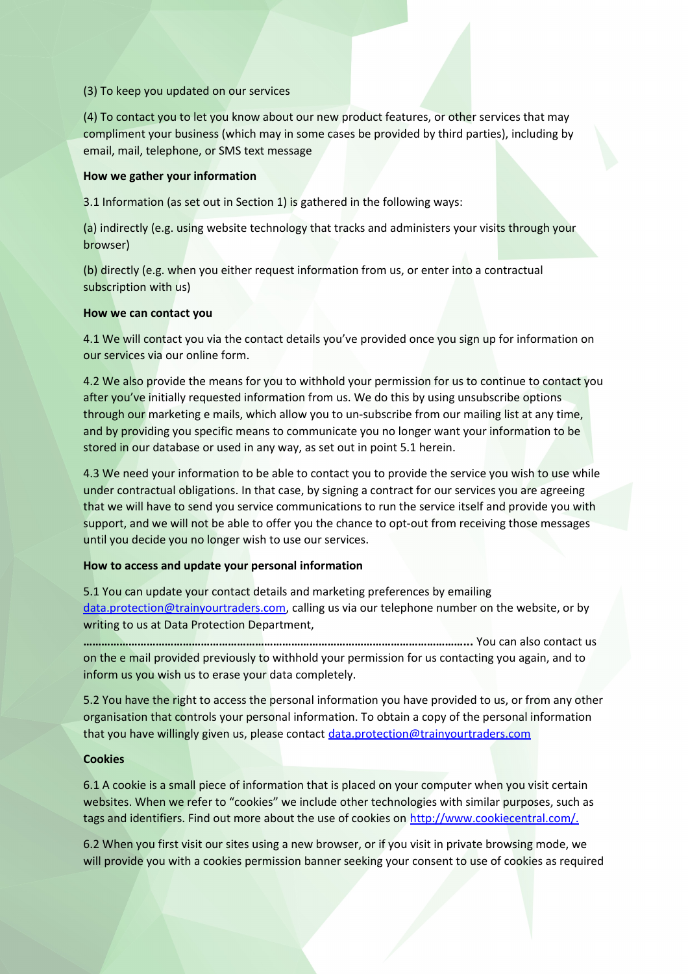## (3) To keep you updated on our services

(4) To contact you to let you know about our new product features, or other services that may compliment your business (which may in some cases be provided by third parties), including by email, mail, telephone, or SMS text message

### **How we gather your information**

3.1 Information (as set out in Section 1) is gathered in the following ways:

(a) indirectly (e.g. using website technology that tracks and administers your visits through your browser)

(b) directly (e.g. when you either request information from us, or enter into a contractual subscription with us)

# **How we can contact you**

4.1 We will contact you via the contact details you've provided once you sign up for information on our services via our online form.

4.2 We also provide the means for you to withhold your permission for us to continue to contact you after you've initially requested information from us. We do this by using unsubscribe options through our marketing e mails, which allow you to un-subscribe from our mailing list at any time, and by providing you specific means to communicate you no longer want your information to be stored in our database or used in any way, as set out in point 5.1 herein.

4.3 We need your information to be able to contact you to provide the service you wish to use while under contractual obligations. In that case, by signing a contract for our services you are agreeing that we will have to send you service communications to run the service itself and provide you with support, and we will not be able to offer you the chance to opt-out from receiving those messages until you decide you no longer wish to use our services.

# **How to access and update your personal information**

5.1 You can update your contact details and marketing preferences by emailing [data.protection@trainyourtraders.com,](mailto:data.protection@trainyourtraders.com) calling us via our telephone number on the website, or by writing to us at Data Protection Department,

**………………………………………………………………………………………………………………...** You can also contact us on the e mail provided previously to withhold your permission for us contacting you again, and to inform us you wish us to erase your data completely.

5.2 You have the right to access the personal information you have provided to us, or from any other organisation that controls your personal information. To obtain a copy of the personal information that you have willingly given us, please contact [data.protection@trainyourtraders.com](mailto:data.protection@trainyourtraders.com)

# **Cookies**

6.1 A cookie is a small piece of information that is placed on your computer when you visit certain websites. When we refer to "cookies" we include other technologies with similar purposes, such as tags and identifiers. Find out more about the use of cookies on [http://www.cookiecentral.com/.](http://www.cookiecentral.com/)

6.2 When you first visit our sites using a new browser, or if you visit in private browsing mode, we will provide you with a cookies permission banner seeking your consent to use of cookies as required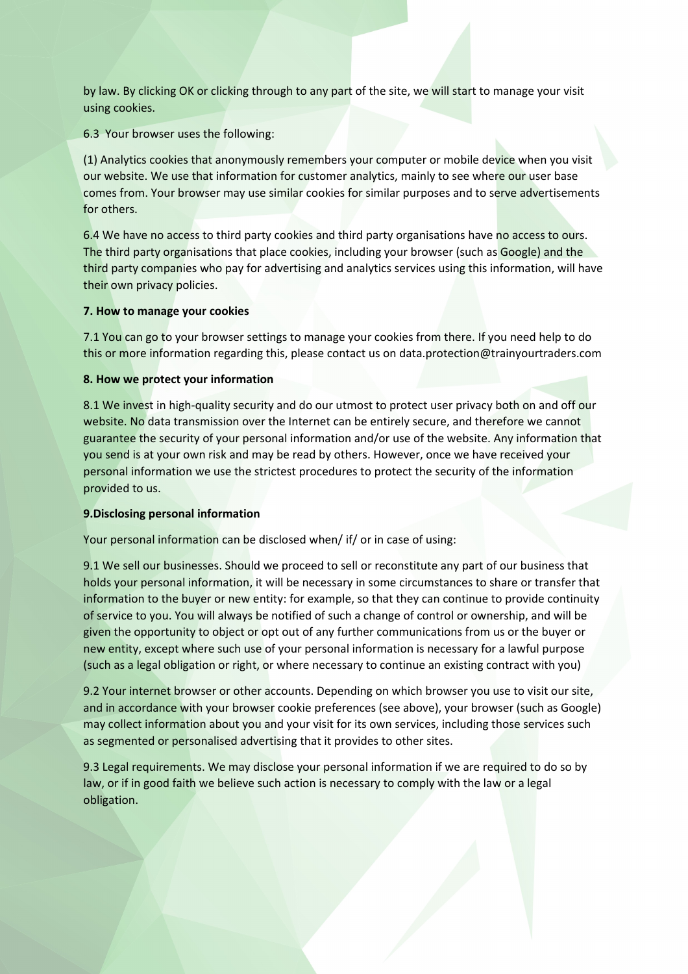by law. By clicking OK or clicking through to any part of the site, we will start to manage your visit using cookies.

6.3 Your browser uses the following:

(1) Analytics cookies that anonymously remembers your computer or mobile device when you visit our website. We use that information for customer analytics, mainly to see where our user base comes from. Your browser may use similar cookies for similar purposes and to serve advertisements for others.

6.4 We have no access to third party cookies and third party organisations have no access to ours. The third party organisations that place cookies, including your browser (such as Google) and the third party companies who pay for advertising and analytics services using this information, will have their own privacy policies.

## **7. How to manage your cookies**

7.1 You can go to your browser settings to manage your cookies from there. If you need help to do this or more information regarding this, please contact us on data.protection@trainyourtraders.com

## **8. How we protect your information**

8.1 We invest in high-quality security and do our utmost to protect user privacy both on and off our website. No data transmission over the Internet can be entirely secure, and therefore we cannot guarantee the security of your personal information and/or use of the website. Any information that you send is at your own risk and may be read by others. However, once we have received your personal information we use the strictest procedures to protect the security of the information provided to us.

#### **9.Disclosing personal information**

Your personal information can be disclosed when/ if/ or in case of using:

9.1 We sell our businesses. Should we proceed to sell or reconstitute any part of our business that holds your personal information, it will be necessary in some circumstances to share or transfer that information to the buyer or new entity: for example, so that they can continue to provide continuity of service to you. You will always be notified of such a change of control or ownership, and will be given the opportunity to object or opt out of any further communications from us or the buyer or new entity, except where such use of your personal information is necessary for a lawful purpose (such as a legal obligation or right, or where necessary to continue an existing contract with you)

9.2 Your internet browser or other accounts. Depending on which browser you use to visit our site, and in accordance with your browser cookie preferences (see above), your browser (such as Google) may collect information about you and your visit for its own services, including those services such as segmented or personalised advertising that it provides to other sites.

9.3 Legal requirements. We may disclose your personal information if we are required to do so by law, or if in good faith we believe such action is necessary to comply with the law or a legal obligation.